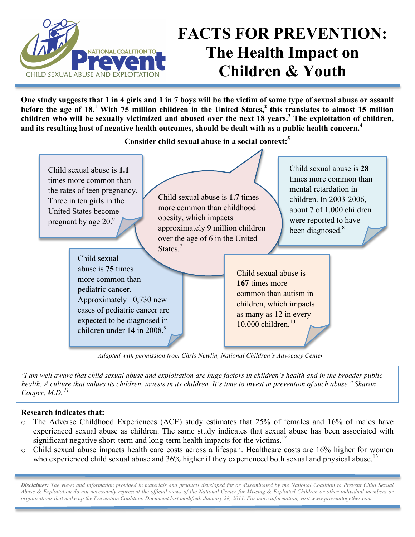

## **FACTS FOR PREVENTION: The Health Impact on Children & Youth**

**One study suggests that 1 in 4 girls and 1 in 7 boys will be the victim of some type of sexual abuse or assault before the age of 18.**<sup>1</sup> With 75 million children in the United States,<sup>2</sup> this translates to almost 15 million **children who will be sexually victimized and abused over the next 18 years.3 The exploitation of children, and its resulting host of negative health outcomes, should be dealt with as a public health concern.4**

**Consider child sexual abuse in a social context:5**



*Adapted with permission from Chris Newlin, National Children's Advocacy Center*

*"I am well aware that child sexual abuse and exploitation are huge factors in children's health and in the broader public health. A culture that values its children, invests in its children. It's time to invest in prevention of such abuse." Sharon Cooper, M.D. <sup>11</sup>*

## **Research indicates that:**

- o The Adverse Childhood Experiences (ACE) study estimates that 25% of females and 16% of males have experienced sexual abuse as children. The same study indicates that sexual abuse has been associated with significant negative short-term and long-term health impacts for the victims.<sup>12</sup>
- o Child sexual abuse impacts health care costs across a lifespan. Healthcare costs are 16% higher for women who experienced child sexual abuse and 36% higher if they experienced both sexual and physical abuse.<sup>13</sup>

*Disclaimer: The views and information provided in materials and products developed for or disseminated by the National Coalition to Prevent Child Sexual Abuse & Exploitation do not necessarily represent the official views of the National Center for Missing & Exploited Children or other individual members or organizations that make up the Prevention Coalition. Document last modified: January 28, 2011. For more information, visit www.preventtogether.com.*